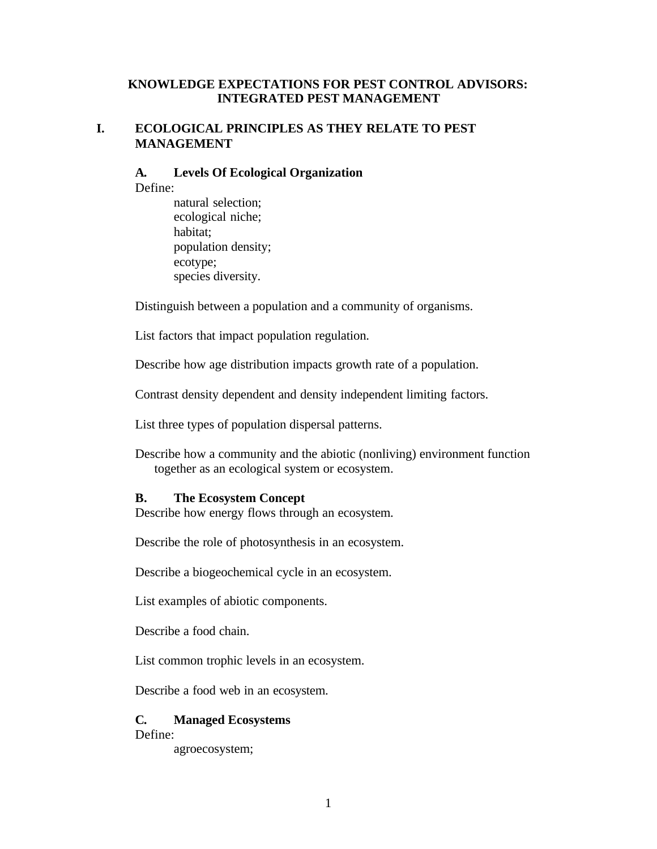## **KNOWLEDGE EXPECTATIONS FOR PEST CONTROL ADVISORS: INTEGRATED PEST MANAGEMENT**

## **I. ECOLOGICAL PRINCIPLES AS THEY RELATE TO PEST MANAGEMENT**

### **A. Levels Of Ecological Organization**

Define:

natural selection; ecological niche; habitat; population density; ecotype; species diversity.

Distinguish between a population and a community of organisms.

List factors that impact population regulation.

Describe how age distribution impacts growth rate of a population.

Contrast density dependent and density independent limiting factors.

List three types of population dispersal patterns.

Describe how a community and the abiotic (nonliving) environment function together as an ecological system or ecosystem.

#### **B. The Ecosystem Concept**

Describe how energy flows through an ecosystem.

Describe the role of photosynthesis in an ecosystem.

Describe a biogeochemical cycle in an ecosystem.

List examples of abiotic components.

Describe a food chain.

List common trophic levels in an ecosystem.

Describe a food web in an ecosystem.

## **C. Managed Ecosystems**

Define:

agroecosystem;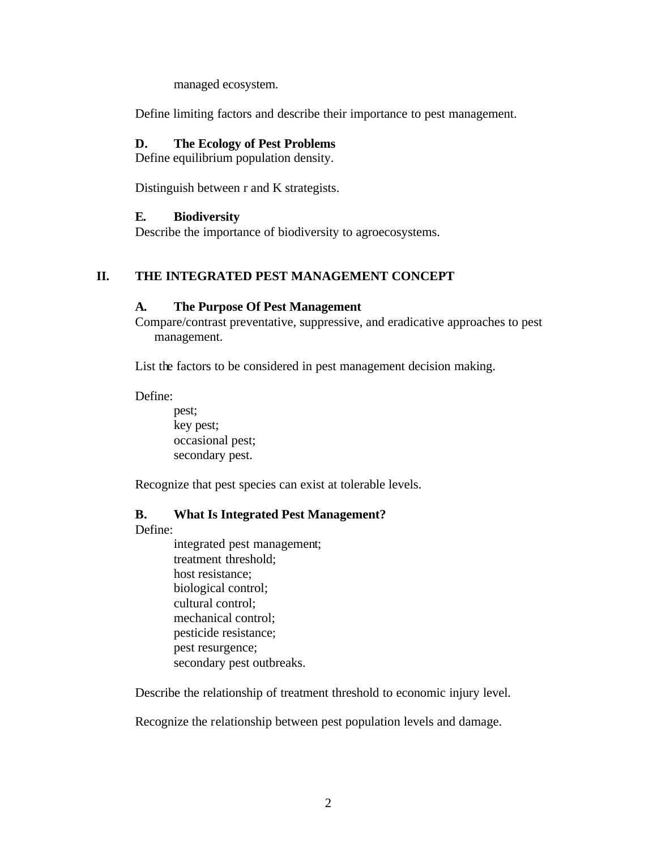managed ecosystem.

Define limiting factors and describe their importance to pest management.

#### **D. The Ecology of Pest Problems**

Define equilibrium population density.

Distinguish between r and K strategists.

#### **E. Biodiversity**

Describe the importance of biodiversity to agroecosystems.

### **II. THE INTEGRATED PEST MANAGEMENT CONCEPT**

#### **A. The Purpose Of Pest Management**

Compare/contrast preventative, suppressive, and eradicative approaches to pest management.

List the factors to be considered in pest management decision making.

Define:

pest; key pest; occasional pest; secondary pest.

Recognize that pest species can exist at tolerable levels.

### **B. What Is Integrated Pest Management?**

Define:

integrated pest management; treatment threshold; host resistance; biological control; cultural control; mechanical control; pesticide resistance; pest resurgence; secondary pest outbreaks.

Describe the relationship of treatment threshold to economic injury level.

Recognize the relationship between pest population levels and damage.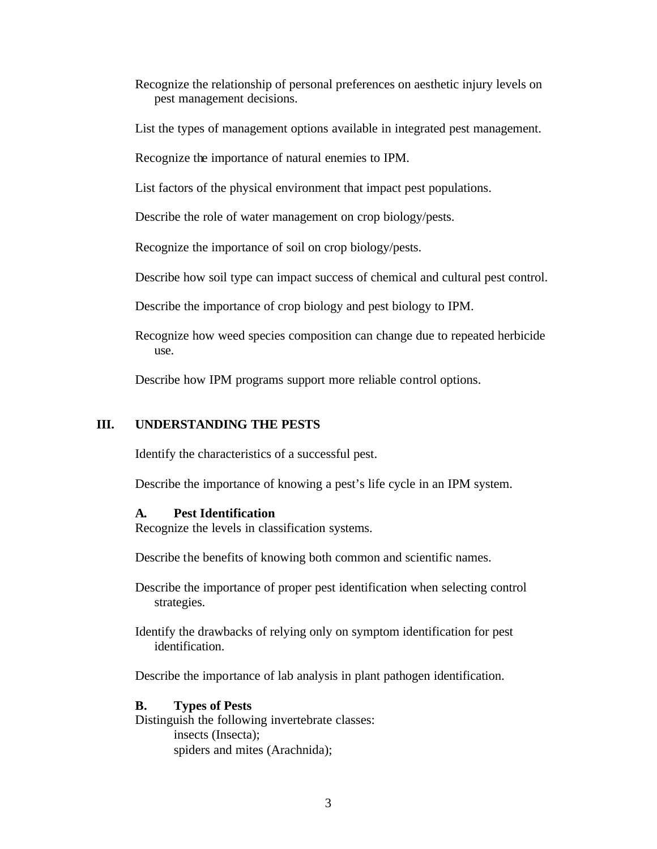- Recognize the relationship of personal preferences on aesthetic injury levels on pest management decisions.
- List the types of management options available in integrated pest management.

Recognize the importance of natural enemies to IPM.

List factors of the physical environment that impact pest populations.

Describe the role of water management on crop biology/pests.

Recognize the importance of soil on crop biology/pests.

Describe how soil type can impact success of chemical and cultural pest control.

Describe the importance of crop biology and pest biology to IPM.

Recognize how weed species composition can change due to repeated herbicide use.

Describe how IPM programs support more reliable control options.

### **III. UNDERSTANDING THE PESTS**

Identify the characteristics of a successful pest.

Describe the importance of knowing a pest's life cycle in an IPM system.

#### **A. Pest Identification**

Recognize the levels in classification systems.

Describe the benefits of knowing both common and scientific names.

- Describe the importance of proper pest identification when selecting control strategies.
- Identify the drawbacks of relying only on symptom identification for pest identification.

Describe the importance of lab analysis in plant pathogen identification.

#### **B. Types of Pests**

Distinguish the following invertebrate classes: insects (Insecta); spiders and mites (Arachnida);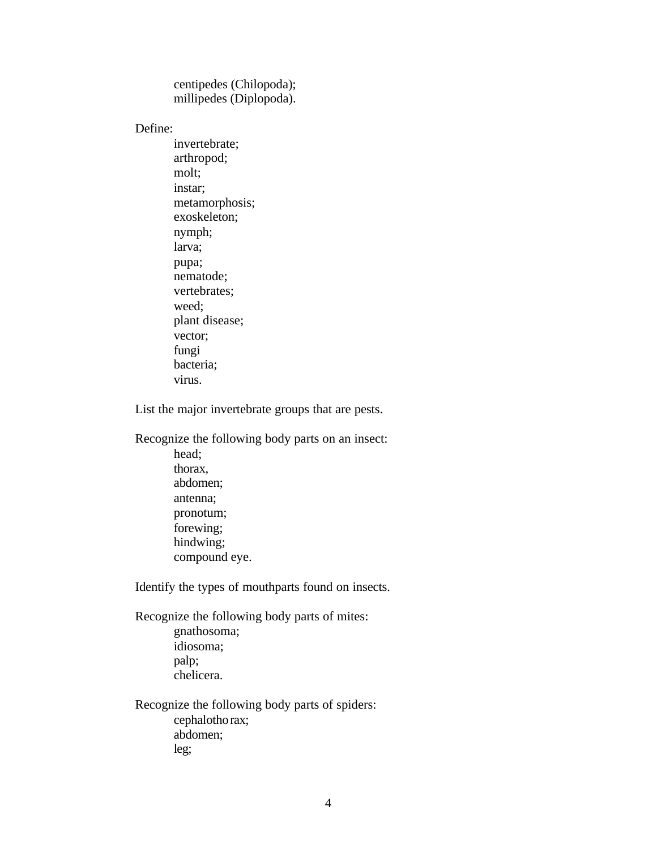centipedes (Chilopoda); millipedes (Diplopoda).

Define:

invertebrate; arthropod; molt; instar; metamorphosis; exoskeleton; nymph; larva; pupa; nematode; vertebrates; weed; plant disease; vector; fungi bacteria; virus.

List the major invertebrate groups that are pests.

Recognize the following body parts on an insect: head; thorax, abdomen; antenna; pronotum; forewing; hindwing; compound eye.

Identify the types of mouthparts found on insects.

Recognize the following body parts of mites: gnathosoma; idiosoma; palp; chelicera.

Recognize the following body parts of spiders: cephalothorax; abdomen; leg;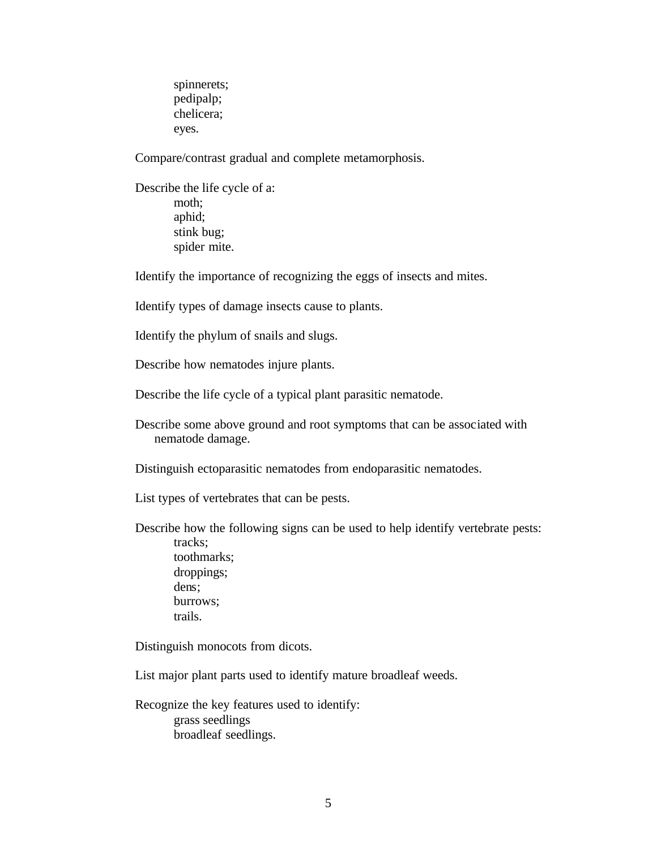spinnerets; pedipalp; chelicera; eyes.

Compare/contrast gradual and complete metamorphosis.

Describe the life cycle of a: moth; aphid; stink bug; spider mite.

Identify the importance of recognizing the eggs of insects and mites.

Identify types of damage insects cause to plants.

Identify the phylum of snails and slugs.

Describe how nematodes injure plants.

Describe the life cycle of a typical plant parasitic nematode.

Describe some above ground and root symptoms that can be associated with nematode damage.

Distinguish ectoparasitic nematodes from endoparasitic nematodes.

List types of vertebrates that can be pests.

Describe how the following signs can be used to help identify vertebrate pests: tracks; toothmarks; droppings; dens; burrows; trails.

Distinguish monocots from dicots.

List major plant parts used to identify mature broadleaf weeds.

Recognize the key features used to identify: grass seedlings broadleaf seedlings.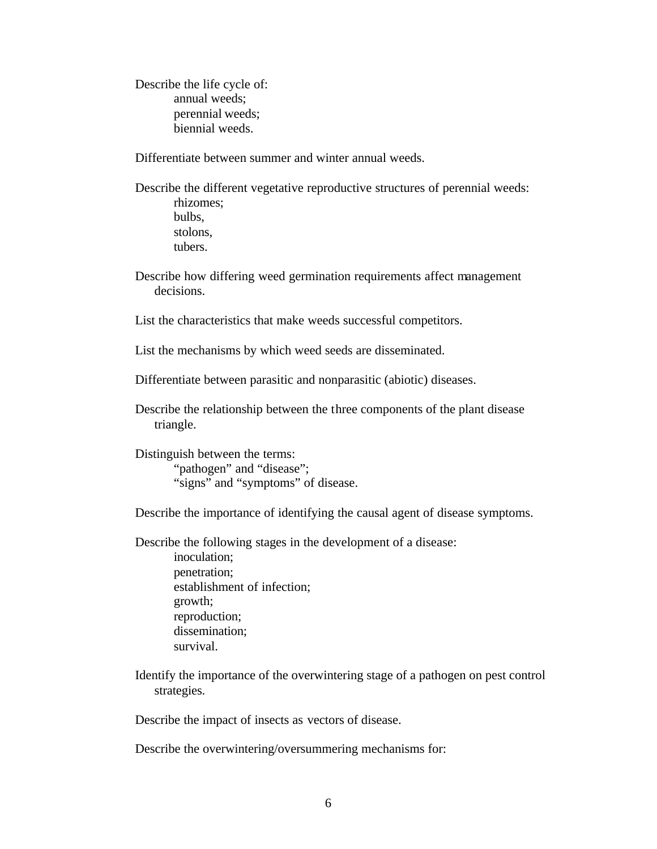Describe the life cycle of: annual weeds; perennial weeds; biennial weeds.

Differentiate between summer and winter annual weeds.

Describe the different vegetative reproductive structures of perennial weeds: rhizomes; bulbs, stolons, tubers.

Describe how differing weed germination requirements affect management decisions.

List the characteristics that make weeds successful competitors.

List the mechanisms by which weed seeds are disseminated.

Differentiate between parasitic and nonparasitic (abiotic) diseases.

Describe the relationship between the three components of the plant disease triangle.

Distinguish between the terms: "pathogen" and "disease"; "signs" and "symptoms" of disease.

Describe the importance of identifying the causal agent of disease symptoms.

Describe the following stages in the development of a disease:

inoculation; penetration; establishment of infection; growth; reproduction; dissemination; survival.

Identify the importance of the overwintering stage of a pathogen on pest control strategies.

Describe the impact of insects as vectors of disease.

Describe the overwintering/oversummering mechanisms for: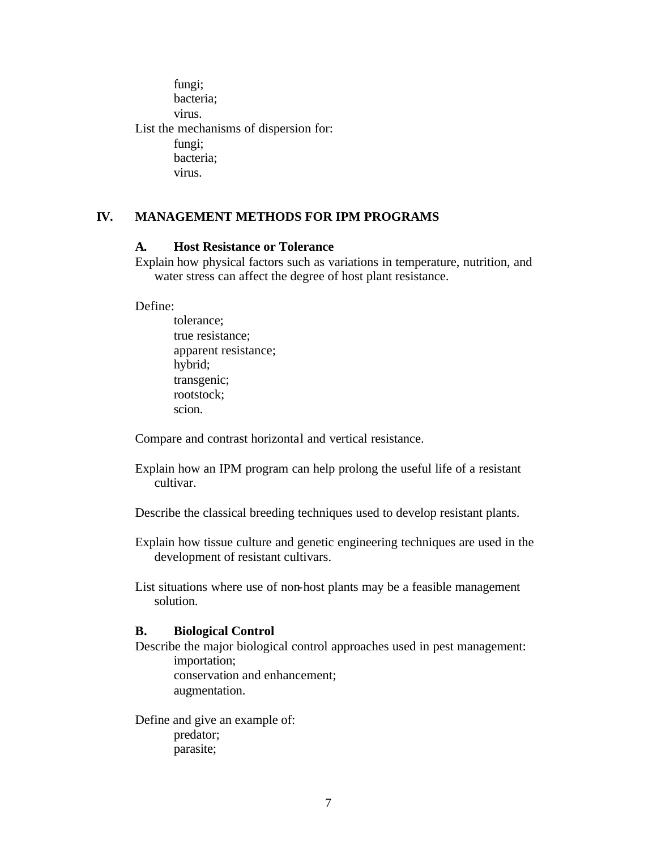fungi; bacteria; virus. List the mechanisms of dispersion for: fungi; bacteria; virus.

## **IV. MANAGEMENT METHODS FOR IPM PROGRAMS**

### **A. Host Resistance or Tolerance**

Explain how physical factors such as variations in temperature, nutrition, and water stress can affect the degree of host plant resistance.

Define:

tolerance; true resistance; apparent resistance; hybrid; transgenic; rootstock; scion.

Compare and contrast horizontal and vertical resistance.

Explain how an IPM program can help prolong the useful life of a resistant cultivar.

Describe the classical breeding techniques used to develop resistant plants.

Explain how tissue culture and genetic engineering techniques are used in the development of resistant cultivars.

List situations where use of non-host plants may be a feasible management solution.

#### **B. Biological Control**

Describe the major biological control approaches used in pest management: importation; conservation and enhancement; augmentation.

Define and give an example of: predator; parasite;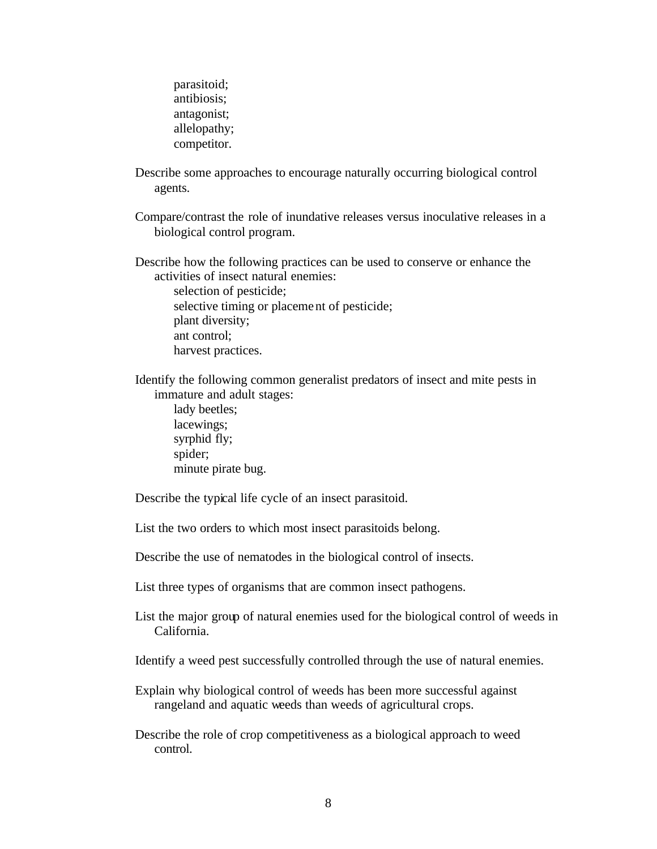parasitoid; antibiosis; antagonist; allelopathy; competitor.

Describe some approaches to encourage naturally occurring biological control agents.

Compare/contrast the role of inundative releases versus inoculative releases in a biological control program.

Describe how the following practices can be used to conserve or enhance the activities of insect natural enemies:

selection of pesticide; selective timing or placement of pesticide; plant diversity; ant control; harvest practices.

Identify the following common generalist predators of insect and mite pests in immature and adult stages:

lady beetles; lacewings; syrphid fly; spider; minute pirate bug.

Describe the typical life cycle of an insect parasitoid.

List the two orders to which most insect parasitoids belong.

Describe the use of nematodes in the biological control of insects.

List three types of organisms that are common insect pathogens.

List the major group of natural enemies used for the biological control of weeds in California.

Identify a weed pest successfully controlled through the use of natural enemies.

- Explain why biological control of weeds has been more successful against rangeland and aquatic weeds than weeds of agricultural crops.
- Describe the role of crop competitiveness as a biological approach to weed control.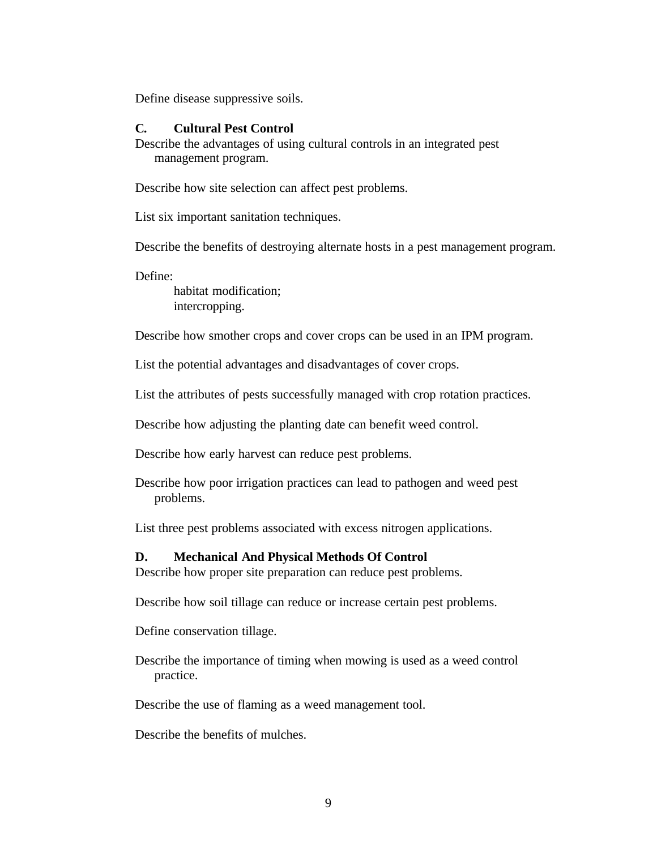Define disease suppressive soils.

#### **C. Cultural Pest Control**

Describe the advantages of using cultural controls in an integrated pest management program.

Describe how site selection can affect pest problems.

List six important sanitation techniques.

Describe the benefits of destroying alternate hosts in a pest management program.

Define:

habitat modification; intercropping.

Describe how smother crops and cover crops can be used in an IPM program.

List the potential advantages and disadvantages of cover crops.

List the attributes of pests successfully managed with crop rotation practices.

Describe how adjusting the planting date can benefit weed control.

Describe how early harvest can reduce pest problems.

Describe how poor irrigation practices can lead to pathogen and weed pest problems.

List three pest problems associated with excess nitrogen applications.

#### **D. Mechanical And Physical Methods Of Control**

Describe how proper site preparation can reduce pest problems.

Describe how soil tillage can reduce or increase certain pest problems.

Define conservation tillage.

Describe the importance of timing when mowing is used as a weed control practice.

Describe the use of flaming as a weed management tool.

Describe the benefits of mulches.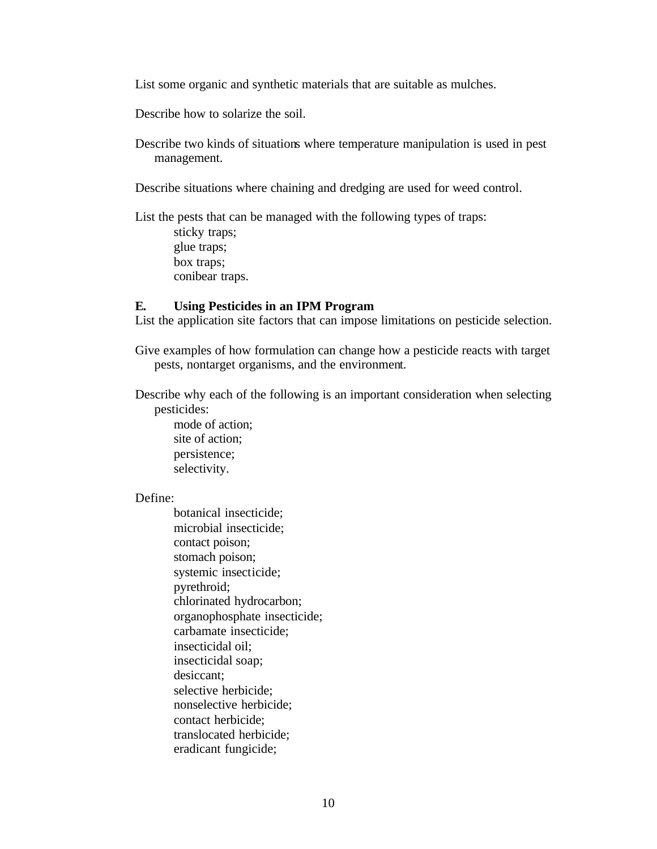List some organic and synthetic materials that are suitable as mulches.

Describe how to solarize the soil.

Describe two kinds of situations where temperature manipulation is used in pest management.

Describe situations where chaining and dredging are used for weed control.

List the pests that can be managed with the following types of traps: sticky traps;

> glue traps; box traps; conibear traps.

#### **E. Using Pesticides in an IPM Program**

List the application site factors that can impose limitations on pesticide selection.

Give examples of how formulation can change how a pesticide reacts with target pests, nontarget organisms, and the environment.

Describe why each of the following is an important consideration when selecting pesticides:

mode of action; site of action; persistence; selectivity.

#### Define:

botanical insecticide; microbial insecticide; contact poison; stomach poison; systemic insecticide; pyrethroid; chlorinated hydrocarbon; organophosphate insecticide; carbamate insecticide; insecticidal oil; insecticidal soap; desiccant; selective herbicide; nonselective herbicide; contact herbicide; translocated herbicide; eradicant fungicide;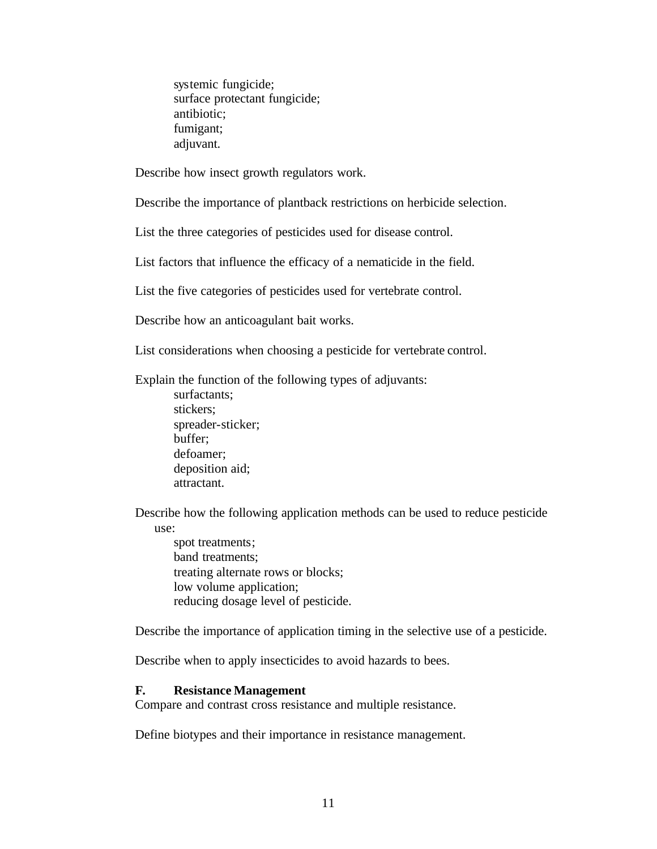systemic fungicide; surface protectant fungicide; antibiotic; fumigant; adjuvant.

Describe how insect growth regulators work.

Describe the importance of plantback restrictions on herbicide selection.

List the three categories of pesticides used for disease control.

List factors that influence the efficacy of a nematicide in the field.

List the five categories of pesticides used for vertebrate control.

Describe how an anticoagulant bait works.

List considerations when choosing a pesticide for vertebrate control.

Explain the function of the following types of adjuvants:

surfactants; stickers; spreader-sticker; buffer; defoamer; deposition aid; attractant.

Describe how the following application methods can be used to reduce pesticide use:

spot treatments; band treatments; treating alternate rows or blocks; low volume application; reducing dosage level of pesticide.

Describe the importance of application timing in the selective use of a pesticide.

Describe when to apply insecticides to avoid hazards to bees.

#### **F. Resistance Management**

Compare and contrast cross resistance and multiple resistance.

Define biotypes and their importance in resistance management.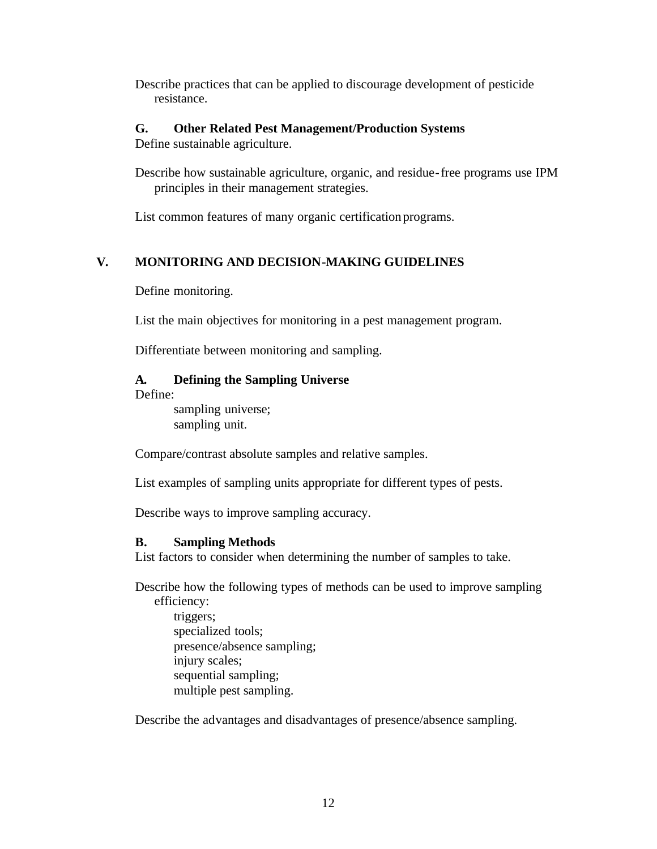Describe practices that can be applied to discourage development of pesticide resistance.

## **G. Other Related Pest Management/Production Systems**

Define sustainable agriculture.

Describe how sustainable agriculture, organic, and residue-free programs use IPM principles in their management strategies.

List common features of many organic certification programs.

# **V. MONITORING AND DECISION-MAKING GUIDELINES**

Define monitoring.

List the main objectives for monitoring in a pest management program.

Differentiate between monitoring and sampling.

# **A. Defining the Sampling Universe**

Define:

sampling universe; sampling unit.

Compare/contrast absolute samples and relative samples.

List examples of sampling units appropriate for different types of pests.

Describe ways to improve sampling accuracy.

# **B. Sampling Methods**

List factors to consider when determining the number of samples to take.

Describe how the following types of methods can be used to improve sampling efficiency:

triggers; specialized tools; presence/absence sampling; injury scales; sequential sampling; multiple pest sampling.

Describe the advantages and disadvantages of presence/absence sampling.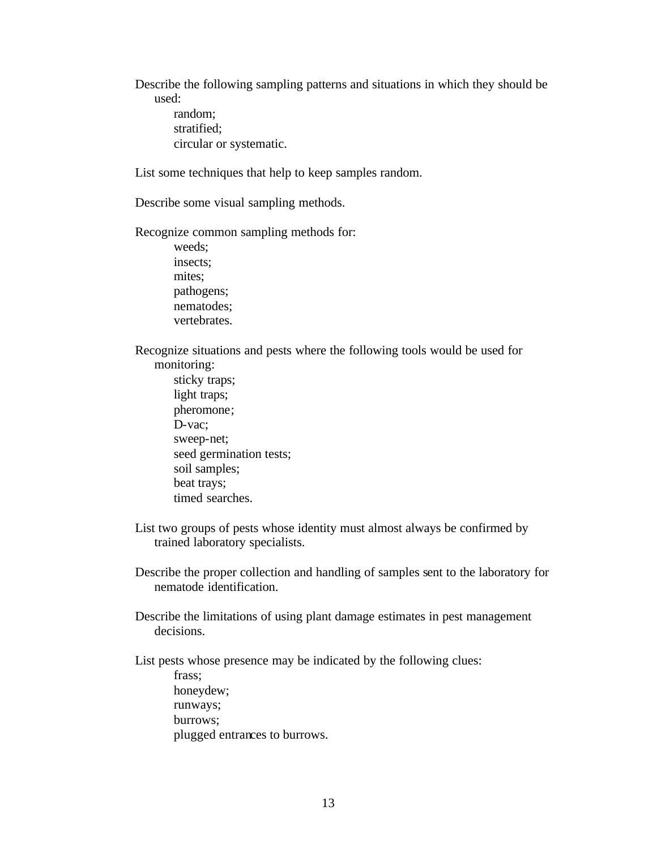Describe the following sampling patterns and situations in which they should be used:

random; stratified; circular or systematic.

List some techniques that help to keep samples random.

Describe some visual sampling methods.

Recognize common sampling methods for:

weeds; insects; mites; pathogens; nematodes; vertebrates.

Recognize situations and pests where the following tools would be used for monitoring:

- sticky traps; light traps; pheromone; D-vac; sweep-net; seed germination tests; soil samples; beat trays; timed searches.
- List two groups of pests whose identity must almost always be confirmed by trained laboratory specialists.

Describe the proper collection and handling of samples sent to the laboratory for nematode identification.

Describe the limitations of using plant damage estimates in pest management decisions.

List pests whose presence may be indicated by the following clues:

frass; honeydew; runways; burrows; plugged entrances to burrows.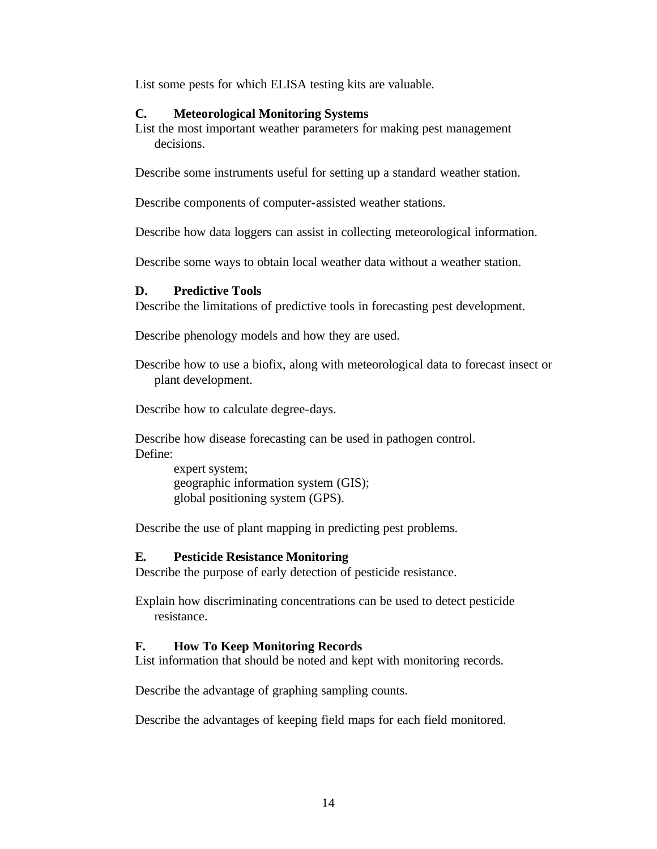List some pests for which ELISA testing kits are valuable.

## **C. Meteorological Monitoring Systems**

List the most important weather parameters for making pest management decisions.

Describe some instruments useful for setting up a standard weather station.

Describe components of computer-assisted weather stations.

Describe how data loggers can assist in collecting meteorological information.

Describe some ways to obtain local weather data without a weather station.

## **D. Predictive Tools**

Describe the limitations of predictive tools in forecasting pest development.

Describe phenology models and how they are used.

Describe how to use a biofix, along with meteorological data to forecast insect or plant development.

Describe how to calculate degree-days.

Describe how disease forecasting can be used in pathogen control. Define:

> expert system; geographic information system (GIS); global positioning system (GPS).

Describe the use of plant mapping in predicting pest problems.

## **E. Pesticide Resistance Monitoring**

Describe the purpose of early detection of pesticide resistance.

Explain how discriminating concentrations can be used to detect pesticide resistance.

## **F. How To Keep Monitoring Records**

List information that should be noted and kept with monitoring records.

Describe the advantage of graphing sampling counts.

Describe the advantages of keeping field maps for each field monitored.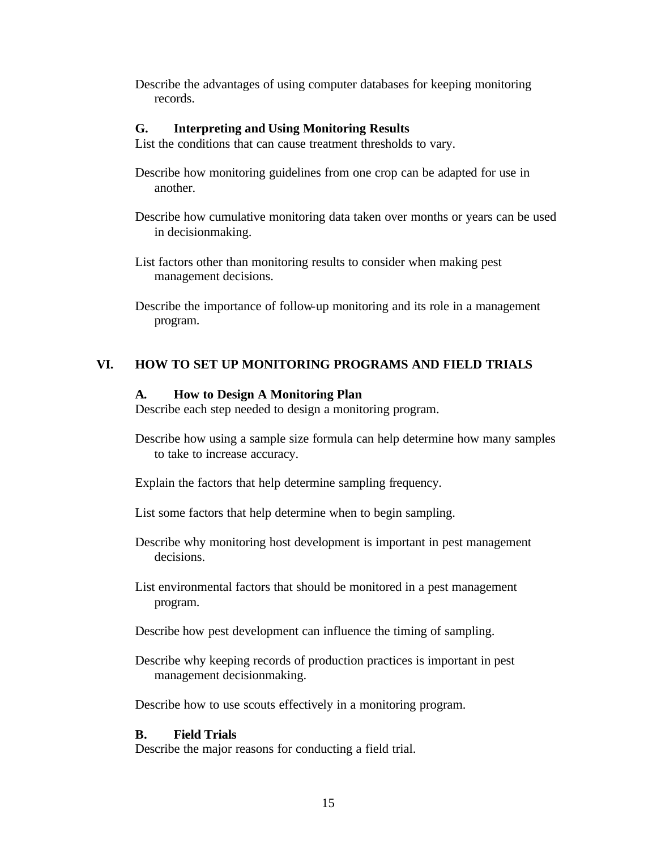Describe the advantages of using computer databases for keeping monitoring records.

### **G. Interpreting and Using Monitoring Results**

List the conditions that can cause treatment thresholds to vary.

- Describe how monitoring guidelines from one crop can be adapted for use in another.
- Describe how cumulative monitoring data taken over months or years can be used in decisionmaking.
- List factors other than monitoring results to consider when making pest management decisions.

Describe the importance of follow-up monitoring and its role in a management program.

## **VI. HOW TO SET UP MONITORING PROGRAMS AND FIELD TRIALS**

### **A. How to Design A Monitoring Plan**

Describe each step needed to design a monitoring program.

Describe how using a sample size formula can help determine how many samples to take to increase accuracy.

Explain the factors that help determine sampling frequency.

- List some factors that help determine when to begin sampling.
- Describe why monitoring host development is important in pest management decisions.
- List environmental factors that should be monitored in a pest management program.
- Describe how pest development can influence the timing of sampling.
- Describe why keeping records of production practices is important in pest management decisionmaking.

Describe how to use scouts effectively in a monitoring program.

## **B. Field Trials**

Describe the major reasons for conducting a field trial.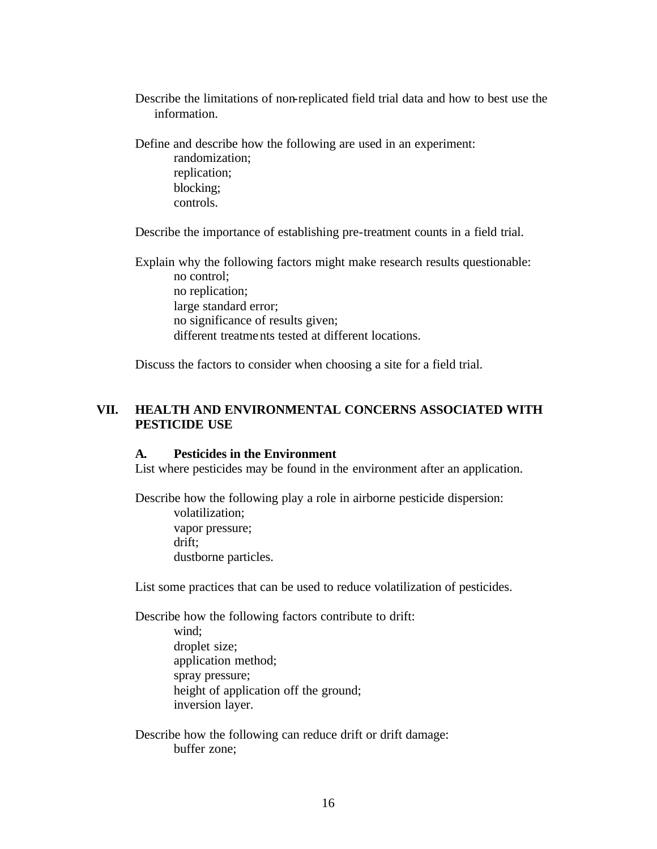Describe the limitations of non-replicated field trial data and how to best use the information.

Define and describe how the following are used in an experiment: randomization; replication; blocking; controls.

Describe the importance of establishing pre-treatment counts in a field trial.

Explain why the following factors might make research results questionable: no control; no replication; large standard error; no significance of results given; different treatments tested at different locations.

Discuss the factors to consider when choosing a site for a field trial.

## **VII. HEALTH AND ENVIRONMENTAL CONCERNS ASSOCIATED WITH PESTICIDE USE**

### **A. Pesticides in the Environment**

List where pesticides may be found in the environment after an application.

Describe how the following play a role in airborne pesticide dispersion: volatilization; vapor pressure; drift; dustborne particles.

List some practices that can be used to reduce volatilization of pesticides.

Describe how the following factors contribute to drift: wind; droplet size; application method; spray pressure; height of application off the ground; inversion layer.

Describe how the following can reduce drift or drift damage: buffer zone;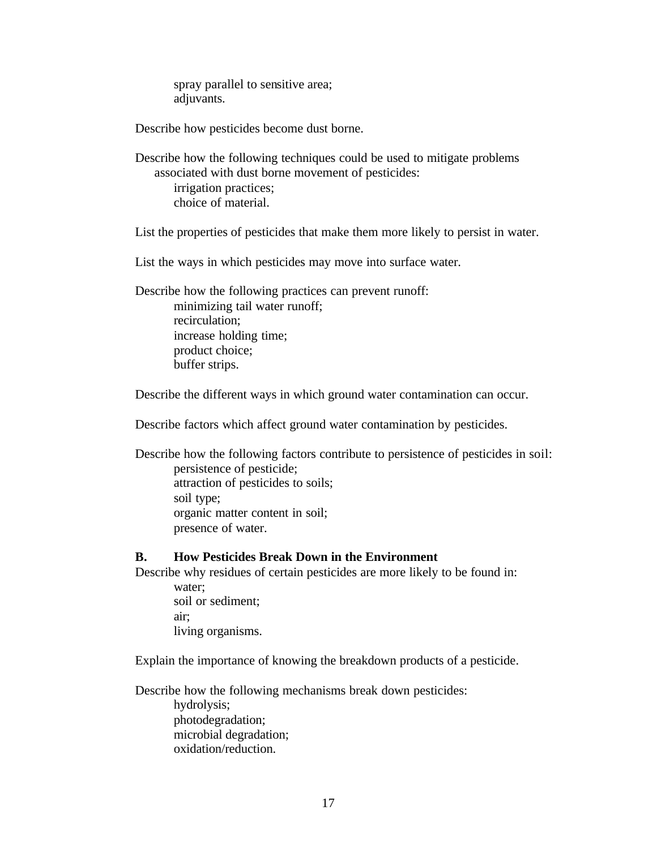spray parallel to sensitive area; adjuvants.

Describe how pesticides become dust borne.

Describe how the following techniques could be used to mitigate problems associated with dust borne movement of pesticides: irrigation practices; choice of material.

List the properties of pesticides that make them more likely to persist in water.

List the ways in which pesticides may move into surface water.

Describe how the following practices can prevent runoff: minimizing tail water runoff; recirculation; increase holding time; product choice; buffer strips.

Describe the different ways in which ground water contamination can occur.

Describe factors which affect ground water contamination by pesticides.

Describe how the following factors contribute to persistence of pesticides in soil: persistence of pesticide; attraction of pesticides to soils; soil type; organic matter content in soil; presence of water.

#### **B. How Pesticides Break Down in the Environment**

Describe why residues of certain pesticides are more likely to be found in: water;

soil or sediment; air; living organisms.

Explain the importance of knowing the breakdown products of a pesticide.

Describe how the following mechanisms break down pesticides: hydrolysis; photodegradation; microbial degradation; oxidation/reduction.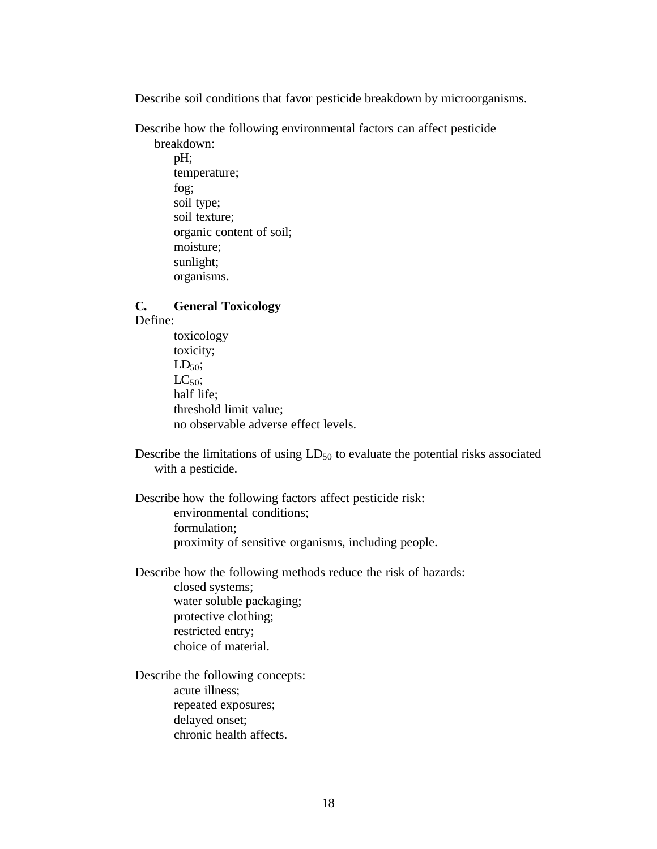Describe soil conditions that favor pesticide breakdown by microorganisms.

Describe how the following environmental factors can affect pesticide

breakdown: pH; temperature; fog; soil type; soil texture; organic content of soil; moisture; sunlight; organisms.

# **C. General Toxicology**

Define:

toxicology toxicity;  $LD_{50}$ ;  $LC_{50}$ ; half life; threshold limit value; no observable adverse effect levels.

Describe the limitations of using  $LD_{50}$  to evaluate the potential risks associated with a pesticide.

Describe how the following factors affect pesticide risk: environmental conditions; formulation; proximity of sensitive organisms, including people.

Describe how the following methods reduce the risk of hazards: closed systems; water soluble packaging; protective clothing; restricted entry; choice of material.

Describe the following concepts: acute illness; repeated exposures; delayed onset; chronic health affects.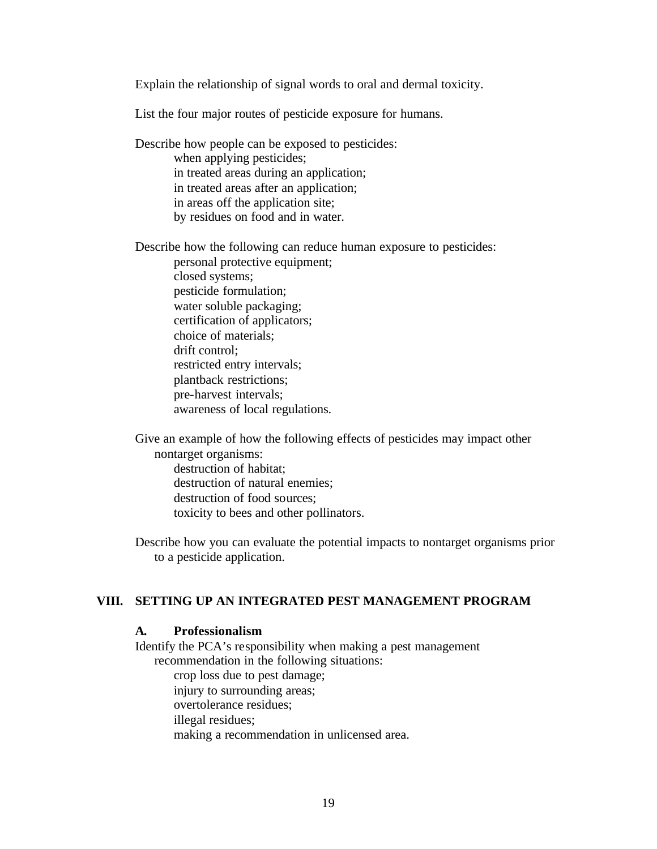Explain the relationship of signal words to oral and dermal toxicity.

List the four major routes of pesticide exposure for humans.

Describe how people can be exposed to pesticides: when applying pesticides; in treated areas during an application; in treated areas after an application; in areas off the application site; by residues on food and in water.

Describe how the following can reduce human exposure to pesticides: personal protective equipment;

closed systems; pesticide formulation; water soluble packaging; certification of applicators; choice of materials; drift control; restricted entry intervals; plantback restrictions; pre-harvest intervals; awareness of local regulations.

Give an example of how the following effects of pesticides may impact other nontarget organisms: destruction of habitat; destruction of natural enemies; destruction of food sources; toxicity to bees and other pollinators.

Describe how you can evaluate the potential impacts to nontarget organisms prior to a pesticide application.

## **VIII. SETTING UP AN INTEGRATED PEST MANAGEMENT PROGRAM**

#### **A. Professionalism**

Identify the PCA's responsibility when making a pest management recommendation in the following situations: crop loss due to pest damage; injury to surrounding areas; overtolerance residues; illegal residues; making a recommendation in unlicensed area.